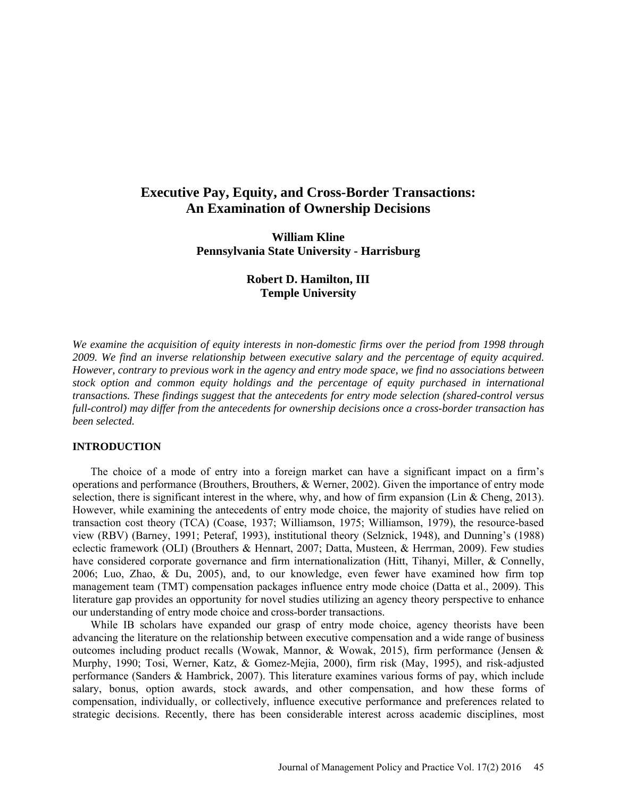# **Executive Pay, Equity, and Cross-Border Transactions: An Examination of Ownership Decisions**

**William Kline Pennsylvania State University - Harrisburg**

# **Robert D. Hamilton, III Temple University**

*We examine the acquisition of equity interests in non-domestic firms over the period from 1998 through 2009. We find an inverse relationship between executive salary and the percentage of equity acquired. However, contrary to previous work in the agency and entry mode space, we find no associations between stock option and common equity holdings and the percentage of equity purchased in international transactions. These findings suggest that the antecedents for entry mode selection (shared-control versus full-control) may differ from the antecedents for ownership decisions once a cross-border transaction has been selected.*

### **INTRODUCTION**

The choice of a mode of entry into a foreign market can have a significant impact on a firm's operations and performance (Brouthers, Brouthers, & Werner, 2002). Given the importance of entry mode selection, there is significant interest in the where, why, and how of firm expansion (Lin & Cheng, 2013). However, while examining the antecedents of entry mode choice, the majority of studies have relied on transaction cost theory (TCA) (Coase, 1937; Williamson, 1975; Williamson, 1979), the resource-based view (RBV) (Barney, 1991; Peteraf, 1993), institutional theory (Selznick, 1948), and Dunning's (1988) eclectic framework (OLI) (Brouthers & Hennart, 2007; Datta, Musteen, & Herrman, 2009). Few studies have considered corporate governance and firm internationalization (Hitt, Tihanyi, Miller, & Connelly, 2006; Luo, Zhao, & Du, 2005), and, to our knowledge, even fewer have examined how firm top management team (TMT) compensation packages influence entry mode choice (Datta et al., 2009). This literature gap provides an opportunity for novel studies utilizing an agency theory perspective to enhance our understanding of entry mode choice and cross-border transactions.

While IB scholars have expanded our grasp of entry mode choice, agency theorists have been advancing the literature on the relationship between executive compensation and a wide range of business outcomes including product recalls (Wowak, Mannor, & Wowak, 2015), firm performance (Jensen & Murphy, 1990; Tosi, Werner, Katz, & Gomez-Mejia, 2000), firm risk (May, 1995), and risk-adjusted performance (Sanders & Hambrick, 2007). This literature examines various forms of pay, which include salary, bonus, option awards, stock awards, and other compensation, and how these forms of compensation, individually, or collectively, influence executive performance and preferences related to strategic decisions. Recently, there has been considerable interest across academic disciplines, most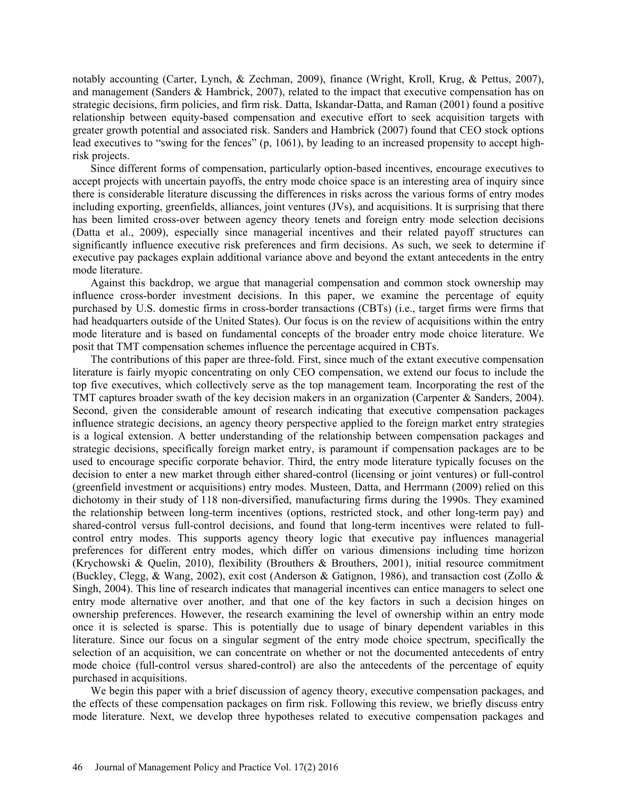notably accounting (Carter, Lynch, & Zechman, 2009), finance (Wright, Kroll, Krug, & Pettus, 2007), and management (Sanders & Hambrick, 2007), related to the impact that executive compensation has on strategic decisions, firm policies, and firm risk. Datta, Iskandar-Datta, and Raman (2001) found a positive relationship between equity-based compensation and executive effort to seek acquisition targets with greater growth potential and associated risk. Sanders and Hambrick (2007) found that CEO stock options lead executives to "swing for the fences" (p, 1061), by leading to an increased propensity to accept highrisk projects.

Since different forms of compensation, particularly option-based incentives, encourage executives to accept projects with uncertain payoffs, the entry mode choice space is an interesting area of inquiry since there is considerable literature discussing the differences in risks across the various forms of entry modes including exporting, greenfields, alliances, joint ventures (JVs), and acquisitions. It is surprising that there has been limited cross-over between agency theory tenets and foreign entry mode selection decisions (Datta et al., 2009), especially since managerial incentives and their related payoff structures can significantly influence executive risk preferences and firm decisions. As such, we seek to determine if executive pay packages explain additional variance above and beyond the extant antecedents in the entry mode literature.

Against this backdrop, we argue that managerial compensation and common stock ownership may influence cross-border investment decisions. In this paper, we examine the percentage of equity purchased by U.S. domestic firms in cross-border transactions (CBTs) (i.e., target firms were firms that had headquarters outside of the United States). Our focus is on the review of acquisitions within the entry mode literature and is based on fundamental concepts of the broader entry mode choice literature. We posit that TMT compensation schemes influence the percentage acquired in CBTs.

The contributions of this paper are three-fold. First, since much of the extant executive compensation literature is fairly myopic concentrating on only CEO compensation, we extend our focus to include the top five executives, which collectively serve as the top management team. Incorporating the rest of the TMT captures broader swath of the key decision makers in an organization (Carpenter & Sanders, 2004). Second, given the considerable amount of research indicating that executive compensation packages influence strategic decisions, an agency theory perspective applied to the foreign market entry strategies is a logical extension. A better understanding of the relationship between compensation packages and strategic decisions, specifically foreign market entry, is paramount if compensation packages are to be used to encourage specific corporate behavior. Third, the entry mode literature typically focuses on the decision to enter a new market through either shared-control (licensing or joint ventures) or full-control (greenfield investment or acquisitions) entry modes. Musteen, Datta, and Herrmann (2009) relied on this dichotomy in their study of 118 non-diversified, manufacturing firms during the 1990s. They examined the relationship between long-term incentives (options, restricted stock, and other long-term pay) and shared-control versus full-control decisions, and found that long-term incentives were related to fullcontrol entry modes. This supports agency theory logic that executive pay influences managerial preferences for different entry modes, which differ on various dimensions including time horizon (Krychowski & Quelin, 2010), flexibility (Brouthers & Brouthers, 2001), initial resource commitment (Buckley, Clegg, & Wang, 2002), exit cost (Anderson & Gatignon, 1986), and transaction cost (Zollo & Singh, 2004). This line of research indicates that managerial incentives can entice managers to select one entry mode alternative over another, and that one of the key factors in such a decision hinges on ownership preferences. However, the research examining the level of ownership within an entry mode once it is selected is sparse. This is potentially due to usage of binary dependent variables in this literature. Since our focus on a singular segment of the entry mode choice spectrum, specifically the selection of an acquisition, we can concentrate on whether or not the documented antecedents of entry mode choice (full-control versus shared-control) are also the antecedents of the percentage of equity purchased in acquisitions.

We begin this paper with a brief discussion of agency theory, executive compensation packages, and the effects of these compensation packages on firm risk. Following this review, we briefly discuss entry mode literature. Next, we develop three hypotheses related to executive compensation packages and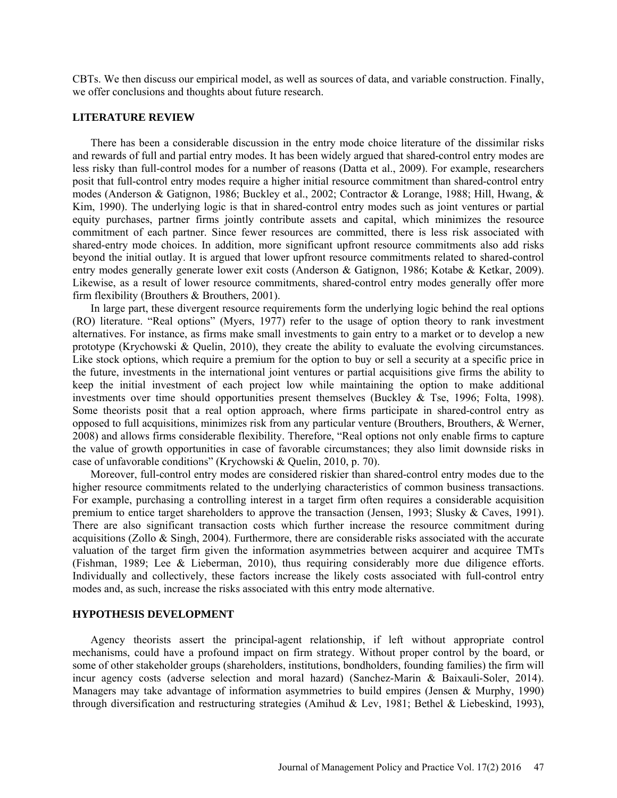CBTs. We then discuss our empirical model, as well as sources of data, and variable construction. Finally, we offer conclusions and thoughts about future research.

### **LITERATURE REVIEW**

There has been a considerable discussion in the entry mode choice literature of the dissimilar risks and rewards of full and partial entry modes. It has been widely argued that shared-control entry modes are less risky than full-control modes for a number of reasons (Datta et al., 2009). For example, researchers posit that full-control entry modes require a higher initial resource commitment than shared-control entry modes (Anderson & Gatignon, 1986; Buckley et al., 2002; Contractor & Lorange, 1988; Hill, Hwang, & Kim, 1990). The underlying logic is that in shared-control entry modes such as joint ventures or partial equity purchases, partner firms jointly contribute assets and capital, which minimizes the resource commitment of each partner. Since fewer resources are committed, there is less risk associated with shared-entry mode choices. In addition, more significant upfront resource commitments also add risks beyond the initial outlay. It is argued that lower upfront resource commitments related to shared-control entry modes generally generate lower exit costs (Anderson & Gatignon, 1986; Kotabe & Ketkar, 2009). Likewise, as a result of lower resource commitments, shared-control entry modes generally offer more firm flexibility (Brouthers & Brouthers, 2001).

In large part, these divergent resource requirements form the underlying logic behind the real options (RO) literature. "Real options" (Myers, 1977) refer to the usage of option theory to rank investment alternatives. For instance, as firms make small investments to gain entry to a market or to develop a new prototype (Krychowski  $\&$  Quelin, 2010), they create the ability to evaluate the evolving circumstances. Like stock options, which require a premium for the option to buy or sell a security at a specific price in the future, investments in the international joint ventures or partial acquisitions give firms the ability to keep the initial investment of each project low while maintaining the option to make additional investments over time should opportunities present themselves (Buckley & Tse, 1996; Folta, 1998). Some theorists posit that a real option approach, where firms participate in shared-control entry as opposed to full acquisitions, minimizes risk from any particular venture (Brouthers, Brouthers, & Werner, 2008) and allows firms considerable flexibility. Therefore, "Real options not only enable firms to capture the value of growth opportunities in case of favorable circumstances; they also limit downside risks in case of unfavorable conditions" (Krychowski & Quelin, 2010, p. 70).

Moreover, full-control entry modes are considered riskier than shared-control entry modes due to the higher resource commitments related to the underlying characteristics of common business transactions. For example, purchasing a controlling interest in a target firm often requires a considerable acquisition premium to entice target shareholders to approve the transaction (Jensen, 1993; Slusky & Caves, 1991). There are also significant transaction costs which further increase the resource commitment during acquisitions (Zollo & Singh, 2004). Furthermore, there are considerable risks associated with the accurate valuation of the target firm given the information asymmetries between acquirer and acquiree TMTs (Fishman, 1989; Lee & Lieberman, 2010), thus requiring considerably more due diligence efforts. Individually and collectively, these factors increase the likely costs associated with full-control entry modes and, as such, increase the risks associated with this entry mode alternative.

## **HYPOTHESIS DEVELOPMENT**

Agency theorists assert the principal-agent relationship, if left without appropriate control mechanisms, could have a profound impact on firm strategy. Without proper control by the board, or some of other stakeholder groups (shareholders, institutions, bondholders, founding families) the firm will incur agency costs (adverse selection and moral hazard) (Sanchez-Marin & Baixauli-Soler, 2014). Managers may take advantage of information asymmetries to build empires (Jensen & Murphy, 1990) through diversification and restructuring strategies (Amihud & Lev, 1981; Bethel & Liebeskind, 1993),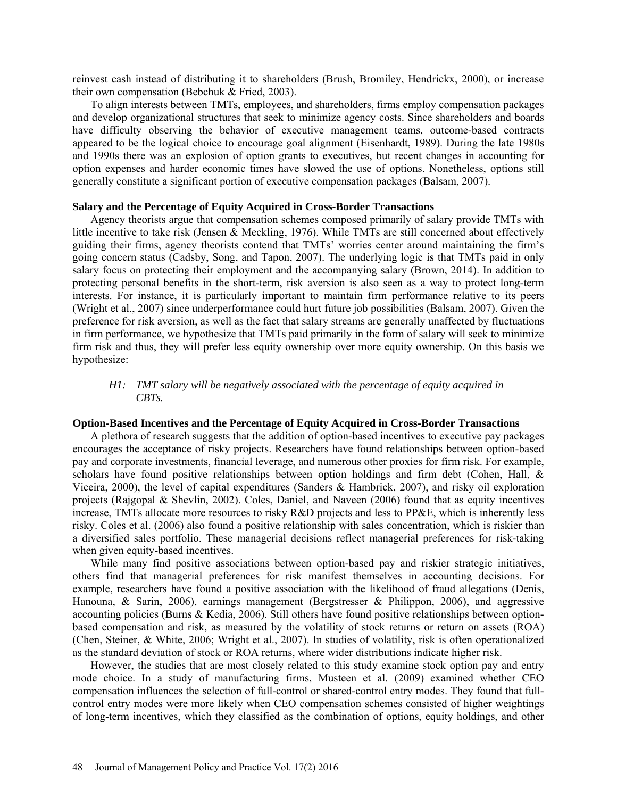reinvest cash instead of distributing it to shareholders (Brush, Bromiley, Hendrickx, 2000), or increase their own compensation (Bebchuk & Fried, 2003).

To align interests between TMTs, employees, and shareholders, firms employ compensation packages and develop organizational structures that seek to minimize agency costs. Since shareholders and boards have difficulty observing the behavior of executive management teams, outcome-based contracts appeared to be the logical choice to encourage goal alignment (Eisenhardt, 1989). During the late 1980s and 1990s there was an explosion of option grants to executives, but recent changes in accounting for option expenses and harder economic times have slowed the use of options. Nonetheless, options still generally constitute a significant portion of executive compensation packages (Balsam, 2007).

### **Salary and the Percentage of Equity Acquired in Cross-Border Transactions**

Agency theorists argue that compensation schemes composed primarily of salary provide TMTs with little incentive to take risk (Jensen & Meckling, 1976). While TMTs are still concerned about effectively guiding their firms, agency theorists contend that TMTs' worries center around maintaining the firm's going concern status (Cadsby, Song, and Tapon, 2007). The underlying logic is that TMTs paid in only salary focus on protecting their employment and the accompanying salary (Brown, 2014). In addition to protecting personal benefits in the short-term, risk aversion is also seen as a way to protect long-term interests. For instance, it is particularly important to maintain firm performance relative to its peers (Wright et al., 2007) since underperformance could hurt future job possibilities (Balsam, 2007). Given the preference for risk aversion, as well as the fact that salary streams are generally unaffected by fluctuations in firm performance, we hypothesize that TMTs paid primarily in the form of salary will seek to minimize firm risk and thus, they will prefer less equity ownership over more equity ownership. On this basis we hypothesize:

# *H1: TMT salary will be negatively associated with the percentage of equity acquired in CBTs.*

#### **Option-Based Incentives and the Percentage of Equity Acquired in Cross-Border Transactions**

A plethora of research suggests that the addition of option-based incentives to executive pay packages encourages the acceptance of risky projects. Researchers have found relationships between option-based pay and corporate investments, financial leverage, and numerous other proxies for firm risk. For example, scholars have found positive relationships between option holdings and firm debt (Cohen, Hall, & Viceira, 2000), the level of capital expenditures (Sanders & Hambrick, 2007), and risky oil exploration projects (Rajgopal & Shevlin, 2002). Coles, Daniel, and Naveen (2006) found that as equity incentives increase, TMTs allocate more resources to risky R&D projects and less to PP&E, which is inherently less risky. Coles et al. (2006) also found a positive relationship with sales concentration, which is riskier than a diversified sales portfolio. These managerial decisions reflect managerial preferences for risk-taking when given equity-based incentives.

While many find positive associations between option-based pay and riskier strategic initiatives, others find that managerial preferences for risk manifest themselves in accounting decisions. For example, researchers have found a positive association with the likelihood of fraud allegations (Denis, Hanouna, & Sarin, 2006), earnings management (Bergstresser & Philippon, 2006), and aggressive accounting policies (Burns & Kedia, 2006). Still others have found positive relationships between optionbased compensation and risk, as measured by the volatility of stock returns or return on assets (ROA) (Chen, Steiner, & White, 2006; Wright et al., 2007). In studies of volatility, risk is often operationalized as the standard deviation of stock or ROA returns, where wider distributions indicate higher risk.

However, the studies that are most closely related to this study examine stock option pay and entry mode choice. In a study of manufacturing firms, Musteen et al. (2009) examined whether CEO compensation influences the selection of full-control or shared-control entry modes. They found that fullcontrol entry modes were more likely when CEO compensation schemes consisted of higher weightings of long-term incentives, which they classified as the combination of options, equity holdings, and other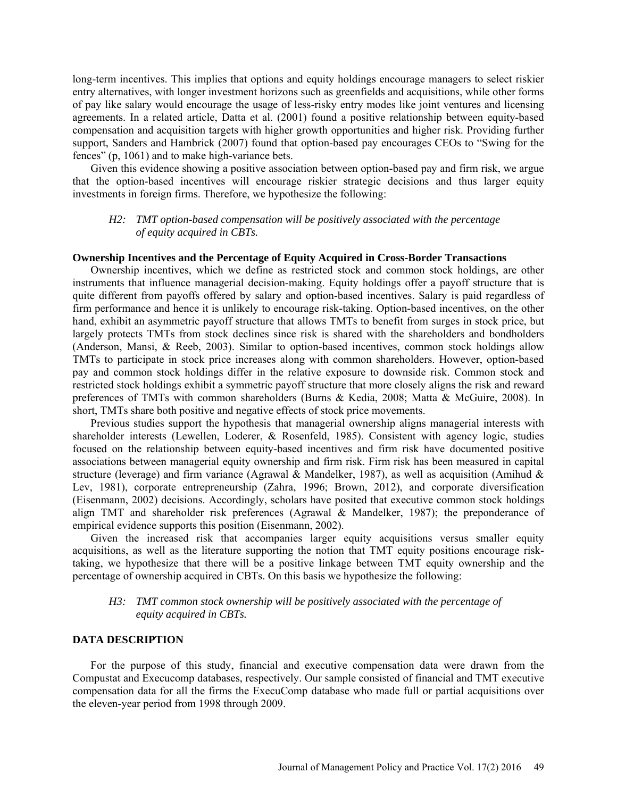long-term incentives. This implies that options and equity holdings encourage managers to select riskier entry alternatives, with longer investment horizons such as greenfields and acquisitions, while other forms of pay like salary would encourage the usage of less-risky entry modes like joint ventures and licensing agreements. In a related article, Datta et al. (2001) found a positive relationship between equity-based compensation and acquisition targets with higher growth opportunities and higher risk. Providing further support, Sanders and Hambrick (2007) found that option-based pay encourages CEOs to "Swing for the fences" (p, 1061) and to make high-variance bets.

Given this evidence showing a positive association between option-based pay and firm risk, we argue that the option-based incentives will encourage riskier strategic decisions and thus larger equity investments in foreign firms. Therefore, we hypothesize the following:

### *H2: TMT option-based compensation will be positively associated with the percentage of equity acquired in CBTs.*

### **Ownership Incentives and the Percentage of Equity Acquired in Cross-Border Transactions**

Ownership incentives, which we define as restricted stock and common stock holdings, are other instruments that influence managerial decision-making. Equity holdings offer a payoff structure that is quite different from payoffs offered by salary and option-based incentives. Salary is paid regardless of firm performance and hence it is unlikely to encourage risk-taking. Option-based incentives, on the other hand, exhibit an asymmetric payoff structure that allows TMTs to benefit from surges in stock price, but largely protects TMTs from stock declines since risk is shared with the shareholders and bondholders (Anderson, Mansi, & Reeb, 2003). Similar to option-based incentives, common stock holdings allow TMTs to participate in stock price increases along with common shareholders. However, option-based pay and common stock holdings differ in the relative exposure to downside risk. Common stock and restricted stock holdings exhibit a symmetric payoff structure that more closely aligns the risk and reward preferences of TMTs with common shareholders (Burns & Kedia, 2008; Matta & McGuire, 2008). In short, TMTs share both positive and negative effects of stock price movements.

Previous studies support the hypothesis that managerial ownership aligns managerial interests with shareholder interests (Lewellen, Loderer, & Rosenfeld, 1985). Consistent with agency logic, studies focused on the relationship between equity-based incentives and firm risk have documented positive associations between managerial equity ownership and firm risk. Firm risk has been measured in capital structure (leverage) and firm variance (Agrawal & Mandelker, 1987), as well as acquisition (Amihud & Lev, 1981), corporate entrepreneurship (Zahra, 1996; Brown, 2012), and corporate diversification (Eisenmann, 2002) decisions. Accordingly, scholars have posited that executive common stock holdings align TMT and shareholder risk preferences (Agrawal & Mandelker, 1987); the preponderance of empirical evidence supports this position (Eisenmann, 2002).

Given the increased risk that accompanies larger equity acquisitions versus smaller equity acquisitions, as well as the literature supporting the notion that TMT equity positions encourage risktaking, we hypothesize that there will be a positive linkage between TMT equity ownership and the percentage of ownership acquired in CBTs. On this basis we hypothesize the following:

# *H3: TMT common stock ownership will be positively associated with the percentage of equity acquired in CBTs.*

### **DATA DESCRIPTION**

For the purpose of this study, financial and executive compensation data were drawn from the Compustat and Execucomp databases, respectively. Our sample consisted of financial and TMT executive compensation data for all the firms the ExecuComp database who made full or partial acquisitions over the eleven-year period from 1998 through 2009.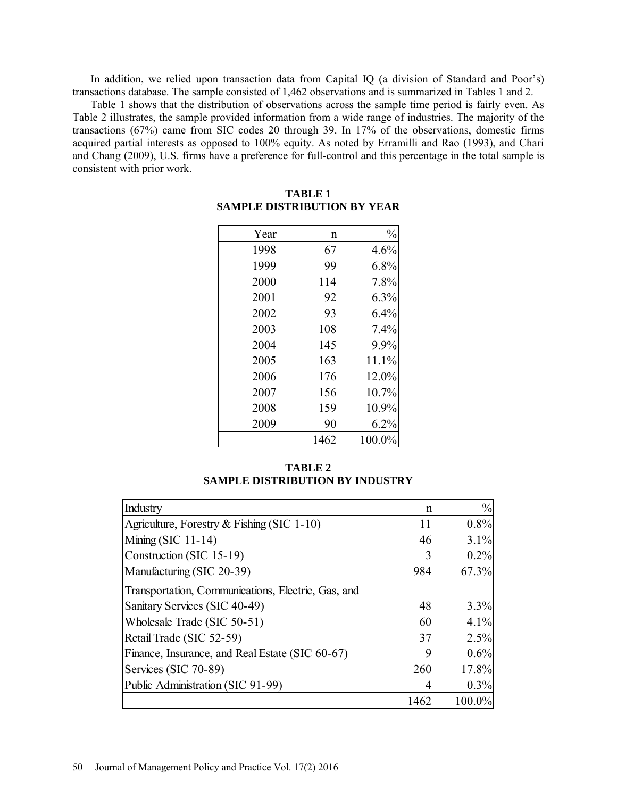In addition, we relied upon transaction data from Capital IQ (a division of Standard and Poor's) transactions database. The sample consisted of 1,462 observations and is summarized in Tables 1 and 2.

Table 1 shows that the distribution of observations across the sample time period is fairly even. As Table 2 illustrates, the sample provided information from a wide range of industries. The majority of the transactions (67%) came from SIC codes 20 through 39. In 17% of the observations, domestic firms acquired partial interests as opposed to 100% equity. As noted by Erramilli and Rao (1993), and Chari and Chang (2009), U.S. firms have a preference for full-control and this percentage in the total sample is consistent with prior work.

| Year | n    | $\frac{0}{0}$ |
|------|------|---------------|
| 1998 | 67   | 4.6%          |
| 1999 | 99   | 6.8%          |
| 2000 | 114  | 7.8%          |
| 2001 | 92   | 6.3%          |
| 2002 | 93   | 6.4%          |
| 2003 | 108  | 7.4%          |
| 2004 | 145  | 9.9%          |
| 2005 | 163  | 11.1%         |
| 2006 | 176  | 12.0%         |
| 2007 | 156  | 10.7%         |
| 2008 | 159  | 10.9%         |
| 2009 | 90   | 6.2%          |
|      | 1462 | 100.0%        |

# **TABLE 1 SAMPLE DISTRIBUTION BY YEAR**

**TABLE 2 SAMPLE DISTRIBUTION BY INDUSTRY**

| Industry                                           | n    | $\frac{0}{0}$ |
|----------------------------------------------------|------|---------------|
| Agriculture, Forestry & Fishing (SIC $1-10$ )      | 11   | 0.8%          |
| Mining (SIC $11-14$ )                              | 46   | 3.1%          |
| Construction (SIC 15-19)                           | 3    | 0.2%          |
| Manufacturing (SIC 20-39)                          | 984  | 67.3%         |
| Transportation, Communications, Electric, Gas, and |      |               |
| Sanitary Services (SIC 40-49)                      | 48   | 3.3%          |
| Wholesale Trade (SIC 50-51)                        | 60   | 4.1%          |
| Retail Trade (SIC 52-59)                           | 37   | 2.5%          |
| Finance, Insurance, and Real Estate (SIC 60-67)    | 9    | 0.6%          |
| Services (SIC 70-89)                               | 260  | 17.8%         |
| Public Administration (SIC 91-99)                  |      | 0.3%          |
|                                                    | 1462 | 100.0%        |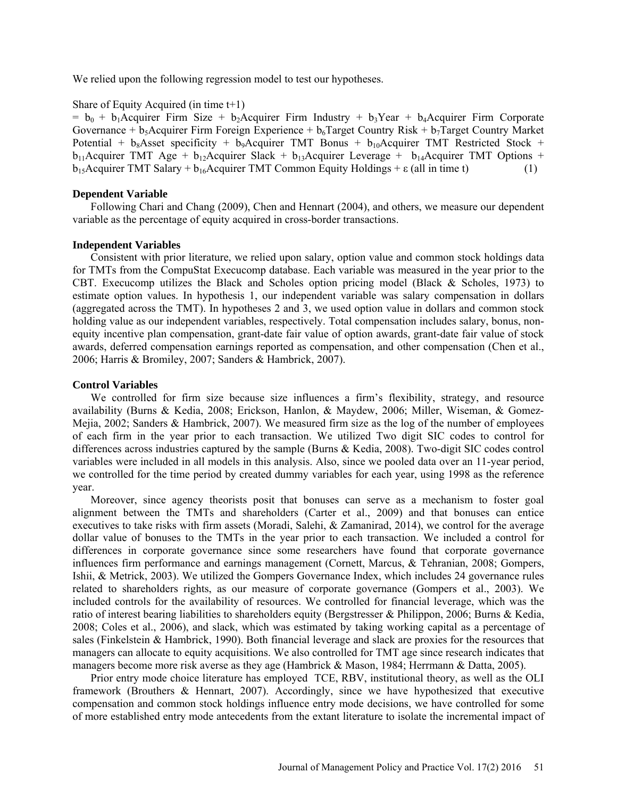We relied upon the following regression model to test our hypotheses.

# Share of Equity Acquired (in time t+1)

 $= b_0 + b_1$ Acquirer Firm Size + b<sub>2</sub>Acquirer Firm Industry + b<sub>3</sub>Year + b<sub>4</sub>Acquirer Firm Corporate Governance +  $b_5$ Acquirer Firm Foreign Experience +  $b_6$ Target Country Risk +  $b_7$ Target Country Market Potential +  $b_8$ Asset specificity +  $b_9$ Acquirer TMT Bonus +  $b_{10}$ Acquirer TMT Restricted Stock +  $b_{11}$ Acquirer TMT Age +  $b_{12}$ Acquirer Slack +  $b_{13}$ Acquirer Leverage +  $b_{14}$ Acquirer TMT Options +  $b_{15}$ Acquirer TMT Salary +  $b_{16}$ Acquirer TMT Common Equity Holdings +  $\varepsilon$  (all in time t) (1)

### **Dependent Variable**

Following Chari and Chang (2009), Chen and Hennart (2004), and others, we measure our dependent variable as the percentage of equity acquired in cross-border transactions.

#### **Independent Variables**

Consistent with prior literature, we relied upon salary, option value and common stock holdings data for TMTs from the CompuStat Execucomp database. Each variable was measured in the year prior to the CBT. Execucomp utilizes the Black and Scholes option pricing model (Black & Scholes, 1973) to estimate option values. In hypothesis 1, our independent variable was salary compensation in dollars (aggregated across the TMT). In hypotheses 2 and 3, we used option value in dollars and common stock holding value as our independent variables, respectively. Total compensation includes salary, bonus, nonequity incentive plan compensation, grant-date fair value of option awards, grant-date fair value of stock awards, deferred compensation earnings reported as compensation, and other compensation (Chen et al., 2006; Harris & Bromiley, 2007; Sanders & Hambrick, 2007).

### **Control Variables**

We controlled for firm size because size influences a firm's flexibility, strategy, and resource availability (Burns & Kedia, 2008; Erickson, Hanlon, & Maydew, 2006; Miller, Wiseman, & Gomez-Mejia, 2002; Sanders & Hambrick, 2007). We measured firm size as the log of the number of employees of each firm in the year prior to each transaction. We utilized Two digit SIC codes to control for differences across industries captured by the sample (Burns & Kedia, 2008). Two-digit SIC codes control variables were included in all models in this analysis. Also, since we pooled data over an 11-year period, we controlled for the time period by created dummy variables for each year, using 1998 as the reference year.

Moreover, since agency theorists posit that bonuses can serve as a mechanism to foster goal alignment between the TMTs and shareholders (Carter et al., 2009) and that bonuses can entice executives to take risks with firm assets (Moradi, Salehi, & Zamanirad, 2014), we control for the average dollar value of bonuses to the TMTs in the year prior to each transaction. We included a control for differences in corporate governance since some researchers have found that corporate governance influences firm performance and earnings management (Cornett, Marcus, & Tehranian, 2008; Gompers, Ishii, & Metrick, 2003). We utilized the Gompers Governance Index, which includes 24 governance rules related to shareholders rights, as our measure of corporate governance (Gompers et al., 2003). We included controls for the availability of resources. We controlled for financial leverage, which was the ratio of interest bearing liabilities to shareholders equity (Bergstresser & Philippon, 2006; Burns & Kedia, 2008; Coles et al., 2006), and slack, which was estimated by taking working capital as a percentage of sales (Finkelstein & Hambrick, 1990). Both financial leverage and slack are proxies for the resources that managers can allocate to equity acquisitions. We also controlled for TMT age since research indicates that managers become more risk averse as they age (Hambrick & Mason, 1984; Herrmann & Datta, 2005).

Prior entry mode choice literature has employed TCE, RBV, institutional theory, as well as the OLI framework (Brouthers & Hennart, 2007). Accordingly, since we have hypothesized that executive compensation and common stock holdings influence entry mode decisions, we have controlled for some of more established entry mode antecedents from the extant literature to isolate the incremental impact of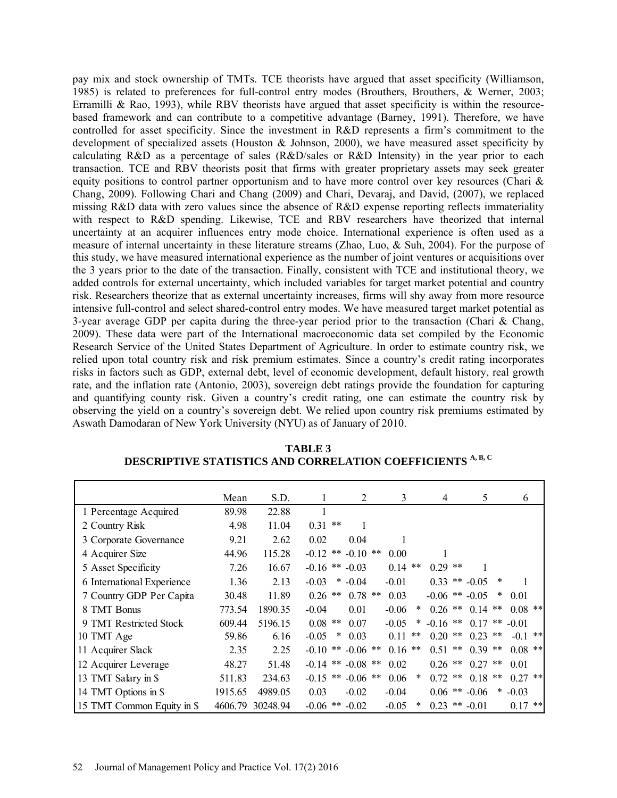pay mix and stock ownership of TMTs. TCE theorists have argued that asset specificity (Williamson, 1985) is related to preferences for full-control entry modes (Brouthers, Brouthers, & Werner, 2003; Erramilli & Rao, 1993), while RBV theorists have argued that asset specificity is within the resourcebased framework and can contribute to a competitive advantage (Barney, 1991). Therefore, we have controlled for asset specificity. Since the investment in R&D represents a firm's commitment to the development of specialized assets (Houston & Johnson, 2000), we have measured asset specificity by calculating R&D as a percentage of sales (R&D/sales or R&D Intensity) in the year prior to each transaction. TCE and RBV theorists posit that firms with greater proprietary assets may seek greater equity positions to control partner opportunism and to have more control over key resources (Chari & Chang, 2009). Following Chari and Chang (2009) and Chari, Devaraj, and David, (2007), we replaced missing R&D data with zero values since the absence of R&D expense reporting reflects immateriality with respect to R&D spending. Likewise, TCE and RBV researchers have theorized that internal uncertainty at an acquirer influences entry mode choice. International experience is often used as a measure of internal uncertainty in these literature streams (Zhao, Luo, & Suh, 2004). For the purpose of this study, we have measured international experience as the number of joint ventures or acquisitions over the 3 years prior to the date of the transaction. Finally, consistent with TCE and institutional theory, we added controls for external uncertainty, which included variables for target market potential and country risk. Researchers theorize that as external uncertainty increases, firms will shy away from more resource intensive full-control and select shared-control entry modes. We have measured target market potential as 3-year average GDP per capita during the three-year period prior to the transaction (Chari & Chang, 2009). These data were part of the International macroeconomic data set compiled by the Economic Research Service of the United States Department of Agriculture. In order to estimate country risk, we relied upon total country risk and risk premium estimates. Since a country's credit rating incorporates risks in factors such as GDP, external debt, level of economic development, default history, real growth rate, and the inflation rate (Antonio, 2003), sovereign debt ratings provide the foundation for capturing and quantifying county risk. Given a country's credit rating, one can estimate the country risk by observing the yield on a country's sovereign debt. We relied upon country risk premiums estimated by Aswath Damodaran of New York University (NYU) as of January of 2010.

|                            | Mean    | S.D.     |                    | 2             | 3          | 4                           | 5          | 6              |
|----------------------------|---------|----------|--------------------|---------------|------------|-----------------------------|------------|----------------|
| 1 Percentage Acquired      | 89.98   | 22.88    | 1                  |               |            |                             |            |                |
| 2 Country Risk             | 4.98    | 11.04    | $0.31$ **          |               |            |                             |            |                |
| 3 Corporate Governance     | 9.21    | 2.62     | 0.02               | 0.04          |            |                             |            |                |
| 4 Acquirer Size            | 44.96   | 115.28   | $-0.12$            | ** $-0.10$ ** | 0.00       |                             |            |                |
| 5 Asset Specificity        | 7.26    | 16.67    | $-0.16$ ** $-0.03$ |               | $0.14$ **  | $0.29$ **                   |            |                |
| 6 International Experience | 1.36    | 2.13     | $\ast$<br>$-0.03$  | $-0.04$       | $-0.01$    | 0.33                        | ** $-0.05$ | *              |
| 7 Country GDP Per Capita   | 30.48   | 11.89    | $0.26$ **          | $0.78$ **     | 0.03       | $-0.06$ ** $-0.05$          |            | $\ast$<br>0.01 |
| 8 TMT Bonus                | 773.54  | 1890.35  | $-0.04$            | 0.01          | $-0.06$    | $0.26$ **<br>$\ast$         | $0.14$ **  | $0.08$ **      |
| 9 TMT Restricted Stock     | 609.44  | 5196.15  | $0.08$ **          | 0.07          | $-0.05$    | $-0.16$ **                  | $0.17$ **  | $-0.01$        |
| 10 TMT Age                 | 59.86   | 6.16     | $-0.05$<br>$\ast$  | 0.03          | 0.11<br>** | 0.20<br>**                  | $0.23$ **  | $-0.1$ **      |
| 11 Acquirer Slack          | 2.35    | 2.25     | $-0.10$            | ** $-0.06$ ** | $0.16$ **  | **<br>0.51                  | $0.39$ **  | $0.08$ **      |
| 12 Acquirer Leverage       | 48.27   | 51.48    | $-0.14$            | ** $-0.08$ ** | 0.02       | $***$<br>0.26               | $0.27$ **  | 0.01           |
| 13 TMT Salary in \$        | 511.83  | 234.63   | **<br>$-0.15$      | $-0.06$ **    | 0.06       | $0.72$ **<br>$\ast$         | $0.18$ **  | $0.27$ **      |
| 14 TMT Options in \$       | 1915.65 | 4989.05  | 0.03               | $-0.02$       | $-0.04$    | $0.06$ ** $-0.06$           |            | $* -0.03$      |
| 15 TMT Common Equity in \$ | 4606.79 | 30248.94 | $-0.06$ ** $-0.02$ |               | $-0.05$    | $0.23$ ** $-0.01$<br>$\ast$ |            | $***$<br>0.17  |

**TABLE 3 DESCRIPTIVE STATISTICS AND CORRELATION COEFFICIENTS A, B, C**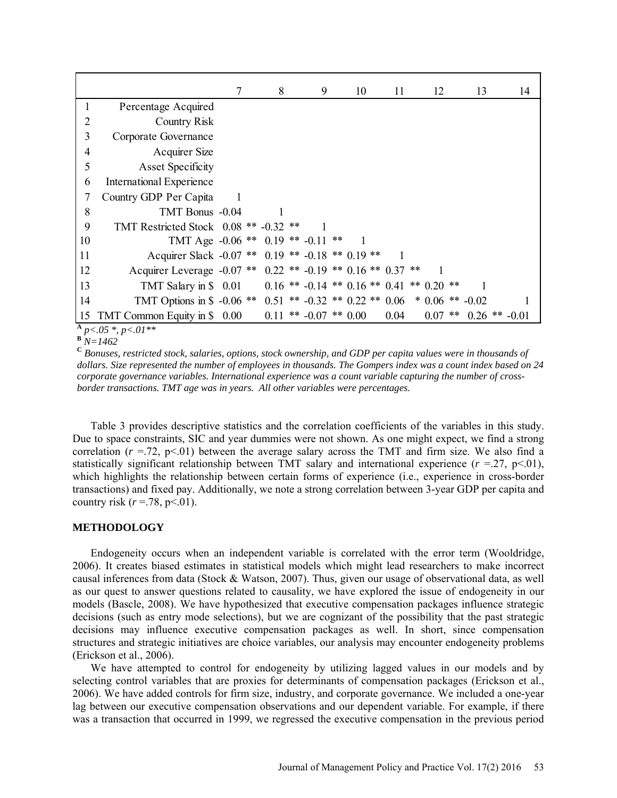|                 |                                                                          | 7 | 8 | 9                                                  | 10 | 11   | 12 | 13                          | 14 |  |
|-----------------|--------------------------------------------------------------------------|---|---|----------------------------------------------------|----|------|----|-----------------------------|----|--|
| 1               | Percentage Acquired                                                      |   |   |                                                    |    |      |    |                             |    |  |
| 2               | <b>Country Risk</b>                                                      |   |   |                                                    |    |      |    |                             |    |  |
| 3               | Corporate Governance                                                     |   |   |                                                    |    |      |    |                             |    |  |
| 4               | <b>Acquirer Size</b>                                                     |   |   |                                                    |    |      |    |                             |    |  |
| 5               | <b>Asset Specificity</b>                                                 |   |   |                                                    |    |      |    |                             |    |  |
| 6               | <b>International Experience</b>                                          |   |   |                                                    |    |      |    |                             |    |  |
| 7               | Country GDP Per Capita                                                   |   |   |                                                    |    |      |    |                             |    |  |
| 8               | TMT Bonus -0.04                                                          |   |   |                                                    |    |      |    |                             |    |  |
| 9               | TMT Restricted Stock 0.08 ** -0.32 **                                    |   |   |                                                    |    |      |    |                             |    |  |
| 10              | TMT Age $-0.06$ ** 0.19 ** $-0.11$ **                                    |   |   |                                                    |    |      |    |                             |    |  |
| 11              | Acquirer Slack -0.07 ** 0.19 ** -0.18 ** 0.19 **                         |   |   |                                                    |    |      |    |                             |    |  |
| 12              | Acquirer Leverage -0.07 ** 0.22 ** -0.19 ** 0.16 ** 0.37 **              |   |   |                                                    |    |      |    |                             |    |  |
| 13              | TMT Salary in \$ 0.01                                                    |   |   | $0.16$ ** $-0.14$ ** $0.16$ ** $0.41$ ** $0.20$ ** |    |      |    |                             |    |  |
| 14              | TMT Options in \$ -0.06 ** 0.51 ** -0.32 ** 0.22 ** 0.06 * 0.06 ** -0.02 |   |   |                                                    |    |      |    |                             |    |  |
| 15<br>$\Lambda$ | TMT Common Equity in \$ 0.00                                             |   |   | $0.11$ ** $-0.07$ ** $0.00$                        |    | 0.04 |    | $0.07$ ** $0.26$ ** $-0.01$ |    |  |

**<sup>A</sup>** *p<.05 \*, p<.01\*\** **<sup>B</sup>** *N=1462*

**<sup>C</sup>** *Bonuses, restricted stock, salaries, options, stock ownership, and GDP per capita values were in thousands of dollars. Size represented the number of employees in thousands. The Gompers index was a count index based on 24 corporate governance variables. International experience was a count variable capturing the number of crossborder transactions. TMT age was in years. All other variables were percentages.*

Table 3 provides descriptive statistics and the correlation coefficients of the variables in this study. Due to space constraints, SIC and year dummies were not shown. As one might expect, we find a strong correlation  $(r = .72, p < .01)$  between the average salary across the TMT and firm size. We also find a statistically significant relationship between TMT salary and international experience  $(r = 27, p < 01)$ , which highlights the relationship between certain forms of experience (i.e., experience in cross-border transactions) and fixed pay. Additionally, we note a strong correlation between 3-year GDP per capita and country risk  $(r=.78, p<.01)$ .

# **METHODOLOGY**

Endogeneity occurs when an independent variable is correlated with the error term (Wooldridge, 2006). It creates biased estimates in statistical models which might lead researchers to make incorrect causal inferences from data (Stock & Watson, 2007). Thus, given our usage of observational data, as well as our quest to answer questions related to causality, we have explored the issue of endogeneity in our models (Bascle, 2008). We have hypothesized that executive compensation packages influence strategic decisions (such as entry mode selections), but we are cognizant of the possibility that the past strategic decisions may influence executive compensation packages as well. In short, since compensation structures and strategic initiatives are choice variables, our analysis may encounter endogeneity problems (Erickson et al., 2006).

We have attempted to control for endogeneity by utilizing lagged values in our models and by selecting control variables that are proxies for determinants of compensation packages (Erickson et al., 2006). We have added controls for firm size, industry, and corporate governance. We included a one-year lag between our executive compensation observations and our dependent variable. For example, if there was a transaction that occurred in 1999, we regressed the executive compensation in the previous period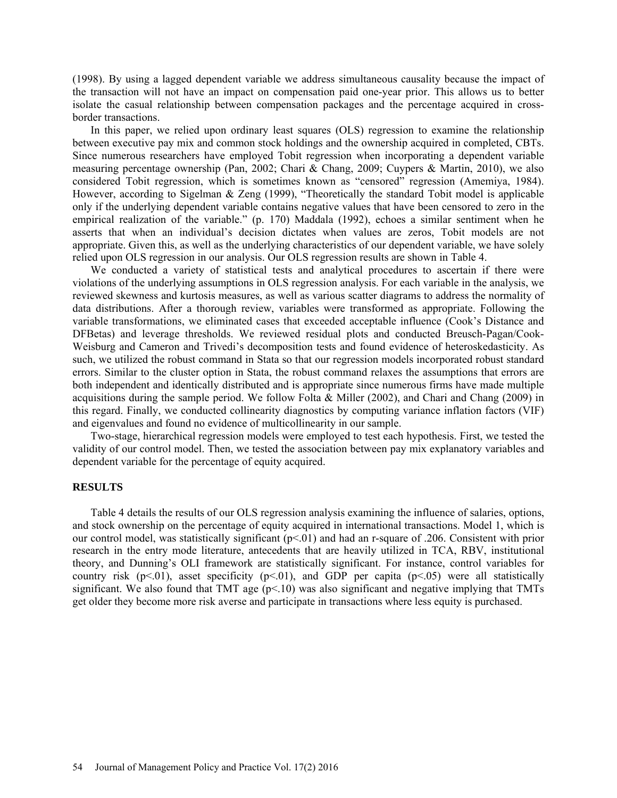(1998). By using a lagged dependent variable we address simultaneous causality because the impact of the transaction will not have an impact on compensation paid one-year prior. This allows us to better isolate the casual relationship between compensation packages and the percentage acquired in crossborder transactions.

In this paper, we relied upon ordinary least squares (OLS) regression to examine the relationship between executive pay mix and common stock holdings and the ownership acquired in completed, CBTs. Since numerous researchers have employed Tobit regression when incorporating a dependent variable measuring percentage ownership (Pan, 2002; Chari & Chang, 2009; Cuypers & Martin, 2010), we also considered Tobit regression, which is sometimes known as "censored" regression (Amemiya, 1984). However, according to Sigelman & Zeng (1999), "Theoretically the standard Tobit model is applicable only if the underlying dependent variable contains negative values that have been censored to zero in the empirical realization of the variable." (p. 170) Maddala (1992), echoes a similar sentiment when he asserts that when an individual's decision dictates when values are zeros, Tobit models are not appropriate. Given this, as well as the underlying characteristics of our dependent variable, we have solely relied upon OLS regression in our analysis. Our OLS regression results are shown in Table 4.

We conducted a variety of statistical tests and analytical procedures to ascertain if there were violations of the underlying assumptions in OLS regression analysis. For each variable in the analysis, we reviewed skewness and kurtosis measures, as well as various scatter diagrams to address the normality of data distributions. After a thorough review, variables were transformed as appropriate. Following the variable transformations, we eliminated cases that exceeded acceptable influence (Cook's Distance and DFBetas) and leverage thresholds. We reviewed residual plots and conducted Breusch-Pagan/Cook-Weisburg and Cameron and Trivedi's decomposition tests and found evidence of heteroskedasticity. As such, we utilized the robust command in Stata so that our regression models incorporated robust standard errors. Similar to the cluster option in Stata, the robust command relaxes the assumptions that errors are both independent and identically distributed and is appropriate since numerous firms have made multiple acquisitions during the sample period. We follow Folta & Miller (2002), and Chari and Chang (2009) in this regard. Finally, we conducted collinearity diagnostics by computing variance inflation factors (VIF) and eigenvalues and found no evidence of multicollinearity in our sample.

Two-stage, hierarchical regression models were employed to test each hypothesis. First, we tested the validity of our control model. Then, we tested the association between pay mix explanatory variables and dependent variable for the percentage of equity acquired.

#### **RESULTS**

Table 4 details the results of our OLS regression analysis examining the influence of salaries, options, and stock ownership on the percentage of equity acquired in international transactions. Model 1, which is our control model, was statistically significant (p<.01) and had an r-square of .206. Consistent with prior research in the entry mode literature, antecedents that are heavily utilized in TCA, RBV, institutional theory, and Dunning's OLI framework are statistically significant. For instance, control variables for country risk ( $p<01$ ), asset specificity ( $p<01$ ), and GDP per capita ( $p<05$ ) were all statistically significant. We also found that TMT age  $(p<10)$  was also significant and negative implying that TMTs get older they become more risk averse and participate in transactions where less equity is purchased.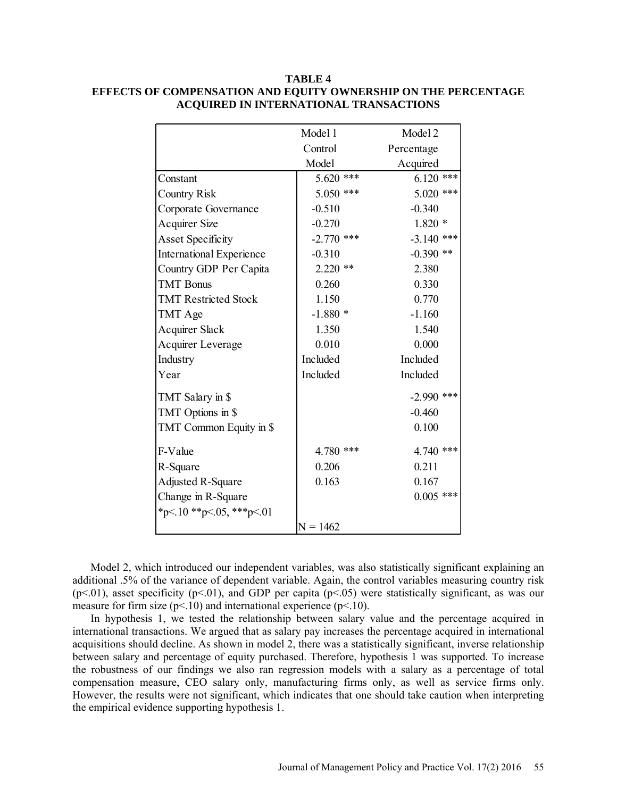| TABLE 4                                                        |
|----------------------------------------------------------------|
| EFFECTS OF COMPENSATION AND EQUITY OWNERSHIP ON THE PERCENTAGE |
| ACQUIRED IN INTERNATIONAL TRANSACTIONS                         |

| Model 1      | Model 2      |  |
|--------------|--------------|--|
| Control      | Percentage   |  |
| Model        | Acquired     |  |
| $5.620$ ***  | $6.120$ ***  |  |
| $5.050$ ***  | $5.020$ ***  |  |
| $-0.510$     | $-0.340$     |  |
| $-0.270$     | $1.820*$     |  |
| $-2.770$ *** | $-3.140$ *** |  |
| $-0.310$     | $-0.390$ **  |  |
| $2.220$ **   | 2.380        |  |
| 0.260        | 0.330        |  |
| 1.150        | 0.770        |  |
| $-1.880*$    | $-1.160$     |  |
| 1.350        | 1.540        |  |
| 0.010        | 0.000        |  |
| Included     | Included     |  |
| Included     | Included     |  |
|              | $-2.990$ *** |  |
|              | $-0.460$     |  |
|              | 0.100        |  |
| 4.780 ***    | 4.740 ***    |  |
| 0.206        | 0.211        |  |
| 0.163        | 0.167        |  |
|              | $0.005$ ***  |  |
|              |              |  |
|              |              |  |
|              | $N = 1462$   |  |

Model 2, which introduced our independent variables, was also statistically significant explaining an additional .5% of the variance of dependent variable. Again, the control variables measuring country risk ( $p$ <.01), asset specificity ( $p$ <.01), and GDP per capita ( $p$ <.05) were statistically significant, as was our measure for firm size ( $p<10$ ) and international experience ( $p<10$ ).

In hypothesis 1, we tested the relationship between salary value and the percentage acquired in international transactions. We argued that as salary pay increases the percentage acquired in international acquisitions should decline. As shown in model 2, there was a statistically significant, inverse relationship between salary and percentage of equity purchased. Therefore, hypothesis 1 was supported. To increase the robustness of our findings we also ran regression models with a salary as a percentage of total compensation measure, CEO salary only, manufacturing firms only, as well as service firms only. However, the results were not significant, which indicates that one should take caution when interpreting the empirical evidence supporting hypothesis 1.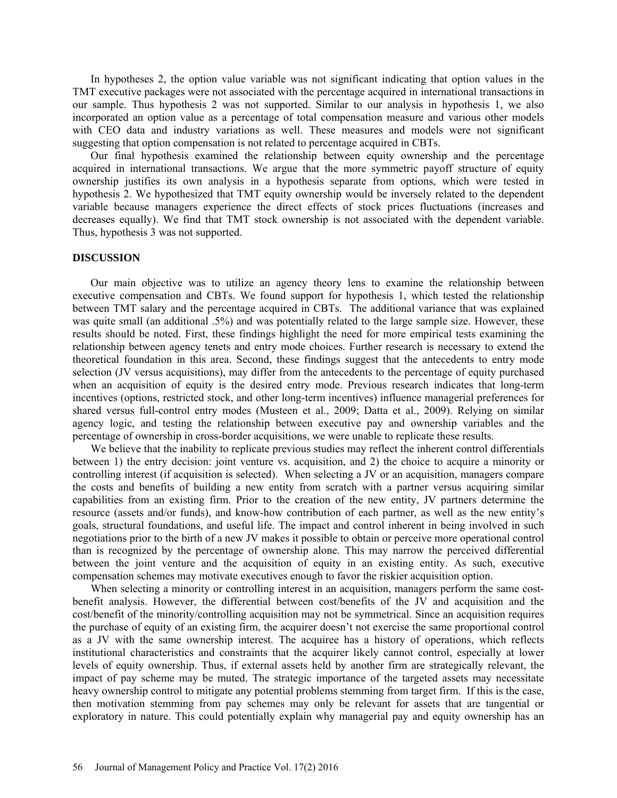In hypotheses 2, the option value variable was not significant indicating that option values in the TMT executive packages were not associated with the percentage acquired in international transactions in our sample. Thus hypothesis 2 was not supported. Similar to our analysis in hypothesis 1, we also incorporated an option value as a percentage of total compensation measure and various other models with CEO data and industry variations as well. These measures and models were not significant suggesting that option compensation is not related to percentage acquired in CBTs.

Our final hypothesis examined the relationship between equity ownership and the percentage acquired in international transactions. We argue that the more symmetric payoff structure of equity ownership justifies its own analysis in a hypothesis separate from options, which were tested in hypothesis 2. We hypothesized that TMT equity ownership would be inversely related to the dependent variable because managers experience the direct effects of stock prices fluctuations (increases and decreases equally). We find that TMT stock ownership is not associated with the dependent variable. Thus, hypothesis 3 was not supported.

#### **DISCUSSION**

Our main objective was to utilize an agency theory lens to examine the relationship between executive compensation and CBTs. We found support for hypothesis 1, which tested the relationship between TMT salary and the percentage acquired in CBTs. The additional variance that was explained was quite small (an additional .5%) and was potentially related to the large sample size. However, these results should be noted. First, these findings highlight the need for more empirical tests examining the relationship between agency tenets and entry mode choices. Further research is necessary to extend the theoretical foundation in this area. Second, these findings suggest that the antecedents to entry mode selection (JV versus acquisitions), may differ from the antecedents to the percentage of equity purchased when an acquisition of equity is the desired entry mode. Previous research indicates that long-term incentives (options, restricted stock, and other long-term incentives) influence managerial preferences for shared versus full-control entry modes (Musteen et al., 2009; Datta et al., 2009). Relying on similar agency logic, and testing the relationship between executive pay and ownership variables and the percentage of ownership in cross-border acquisitions, we were unable to replicate these results.

We believe that the inability to replicate previous studies may reflect the inherent control differentials between 1) the entry decision: joint venture vs. acquisition, and 2) the choice to acquire a minority or controlling interest (if acquisition is selected). When selecting a JV or an acquisition, managers compare the costs and benefits of building a new entity from scratch with a partner versus acquiring similar capabilities from an existing firm. Prior to the creation of the new entity, JV partners determine the resource (assets and/or funds), and know-how contribution of each partner, as well as the new entity's goals, structural foundations, and useful life. The impact and control inherent in being involved in such negotiations prior to the birth of a new JV makes it possible to obtain or perceive more operational control than is recognized by the percentage of ownership alone. This may narrow the perceived differential between the joint venture and the acquisition of equity in an existing entity. As such, executive compensation schemes may motivate executives enough to favor the riskier acquisition option.

When selecting a minority or controlling interest in an acquisition, managers perform the same costbenefit analysis. However, the differential between cost/benefits of the JV and acquisition and the cost/benefit of the minority/controlling acquisition may not be symmetrical. Since an acquisition requires the purchase of equity of an existing firm, the acquirer doesn't not exercise the same proportional control as a JV with the same ownership interest. The acquiree has a history of operations, which reflects institutional characteristics and constraints that the acquirer likely cannot control, especially at lower levels of equity ownership. Thus, if external assets held by another firm are strategically relevant, the impact of pay scheme may be muted. The strategic importance of the targeted assets may necessitate heavy ownership control to mitigate any potential problems stemming from target firm. If this is the case, then motivation stemming from pay schemes may only be relevant for assets that are tangential or exploratory in nature. This could potentially explain why managerial pay and equity ownership has an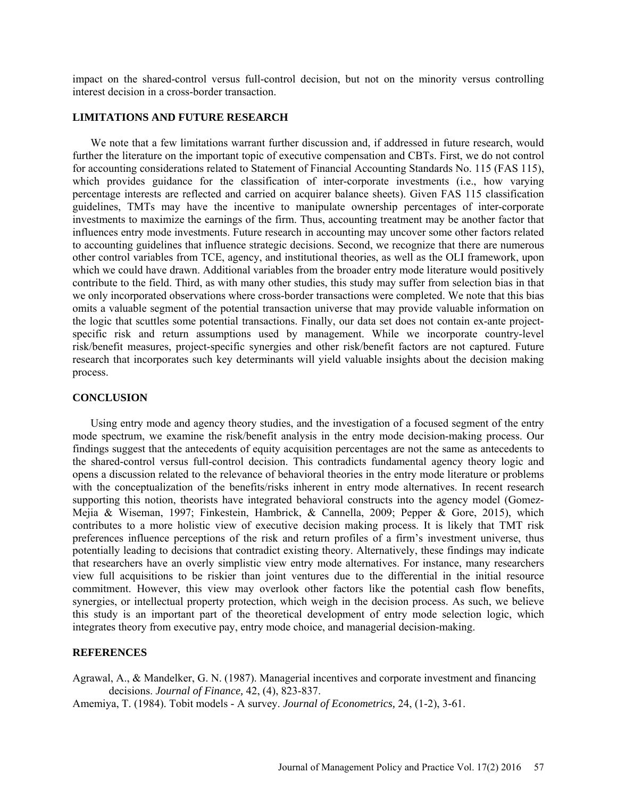impact on the shared-control versus full-control decision, but not on the minority versus controlling interest decision in a cross-border transaction.

### **LIMITATIONS AND FUTURE RESEARCH**

We note that a few limitations warrant further discussion and, if addressed in future research, would further the literature on the important topic of executive compensation and CBTs. First, we do not control for accounting considerations related to Statement of Financial Accounting Standards No. 115 (FAS 115), which provides guidance for the classification of inter-corporate investments (i.e., how varying percentage interests are reflected and carried on acquirer balance sheets). Given FAS 115 classification guidelines, TMTs may have the incentive to manipulate ownership percentages of inter-corporate investments to maximize the earnings of the firm. Thus, accounting treatment may be another factor that influences entry mode investments. Future research in accounting may uncover some other factors related to accounting guidelines that influence strategic decisions. Second, we recognize that there are numerous other control variables from TCE, agency, and institutional theories, as well as the OLI framework, upon which we could have drawn. Additional variables from the broader entry mode literature would positively contribute to the field. Third, as with many other studies, this study may suffer from selection bias in that we only incorporated observations where cross-border transactions were completed. We note that this bias omits a valuable segment of the potential transaction universe that may provide valuable information on the logic that scuttles some potential transactions. Finally, our data set does not contain ex-ante projectspecific risk and return assumptions used by management. While we incorporate country-level risk/benefit measures, project-specific synergies and other risk/benefit factors are not captured. Future research that incorporates such key determinants will yield valuable insights about the decision making process.

#### **CONCLUSION**

Using entry mode and agency theory studies, and the investigation of a focused segment of the entry mode spectrum, we examine the risk/benefit analysis in the entry mode decision-making process. Our findings suggest that the antecedents of equity acquisition percentages are not the same as antecedents to the shared-control versus full-control decision. This contradicts fundamental agency theory logic and opens a discussion related to the relevance of behavioral theories in the entry mode literature or problems with the conceptualization of the benefits/risks inherent in entry mode alternatives. In recent research supporting this notion, theorists have integrated behavioral constructs into the agency model (Gomez-Mejia & Wiseman, 1997; Finkestein, Hambrick, & Cannella, 2009; Pepper & Gore, 2015), which contributes to a more holistic view of executive decision making process. It is likely that TMT risk preferences influence perceptions of the risk and return profiles of a firm's investment universe, thus potentially leading to decisions that contradict existing theory. Alternatively, these findings may indicate that researchers have an overly simplistic view entry mode alternatives. For instance, many researchers view full acquisitions to be riskier than joint ventures due to the differential in the initial resource commitment. However, this view may overlook other factors like the potential cash flow benefits, synergies, or intellectual property protection, which weigh in the decision process. As such, we believe this study is an important part of the theoretical development of entry mode selection logic, which integrates theory from executive pay, entry mode choice, and managerial decision-making.

### **REFERENCES**

Agrawal, A., & Mandelker, G. N. (1987). Managerial incentives and corporate investment and financing decisions. *Journal of Finance,* 42, (4), 823-837.

Amemiya, T. (1984). Tobit models - A survey. *Journal of Econometrics,* 24, (1-2), 3-61.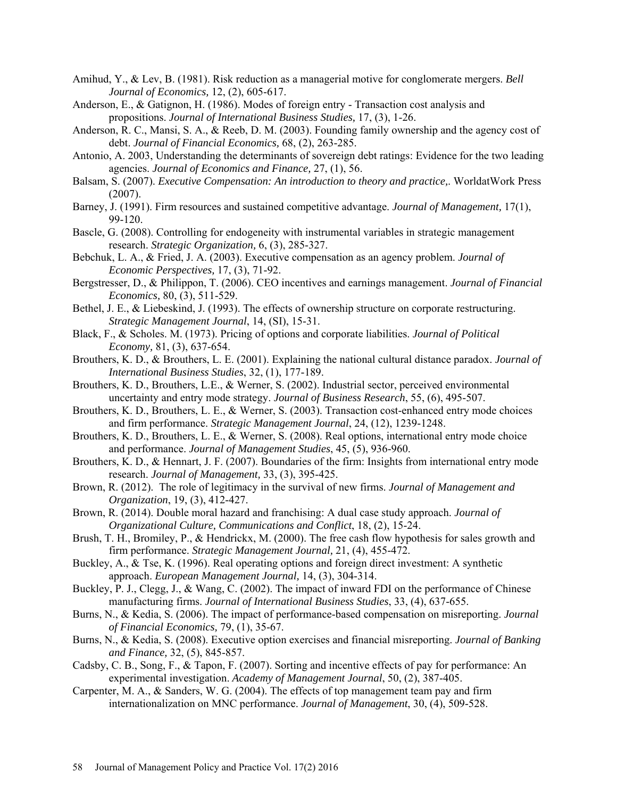- Amihud, Y., & Lev, B. (1981). Risk reduction as a managerial motive for conglomerate mergers. *Bell Journal of Economics,* 12, (2), 605-617.
- Anderson, E., & Gatignon, H. (1986). Modes of foreign entry Transaction cost analysis and propositions. *Journal of International Business Studies,* 17, (3), 1-26.
- Anderson, R. C., Mansi, S. A., & Reeb, D. M. (2003). Founding family ownership and the agency cost of debt. *Journal of Financial Economics,* 68, (2), 263-285.
- Antonio, A. 2003, Understanding the determinants of sovereign debt ratings: Evidence for the two leading agencies. *Journal of Economics and Finance,* 27, (1), 56.
- Balsam, S. (2007). *Executive Compensation: An introduction to theory and practice,*. WorldatWork Press (2007).
- Barney, J. (1991). Firm resources and sustained competitive advantage. *Journal of Management,* 17(1), 99-120.
- Bascle, G. (2008). Controlling for endogeneity with instrumental variables in strategic management research. *Strategic Organization,* 6, (3), 285-327.
- Bebchuk, L. A., & Fried, J. A. (2003). Executive compensation as an agency problem. *Journal of Economic Perspectives,* 17, (3), 71-92.
- Bergstresser, D., & Philippon, T. (2006). CEO incentives and earnings management. *Journal of Financial Economics,* 80, (3), 511-529.
- Bethel, J. E., & Liebeskind, J. (1993). The effects of ownership structure on corporate restructuring. *Strategic Management Journal*, 14, (SI), 15-31.
- Black, F., & Scholes. M. (1973). Pricing of options and corporate liabilities. *Journal of Political Economy,* 81, (3), 637-654.
- Brouthers, K. D., & Brouthers, L. E. (2001). Explaining the national cultural distance paradox. *Journal of International Business Studies*, 32, (1), 177-189.
- Brouthers, K. D., Brouthers, L.E., & Werner, S. (2002). Industrial sector, perceived environmental uncertainty and entry mode strategy. *Journal of Business Research*, 55, (6), 495-507.
- Brouthers, K. D., Brouthers, L. E., & Werner, S. (2003). Transaction cost-enhanced entry mode choices and firm performance. *Strategic Management Journal*, 24, (12), 1239-1248.
- Brouthers, K. D., Brouthers, L. E., & Werner, S. (2008). Real options, international entry mode choice and performance. *Journal of Management Studies*, 45, (5), 936-960.
- Brouthers, K. D., & Hennart, J. F. (2007). Boundaries of the firm: Insights from international entry mode research. *Journal of Management,* 33, (3), 395-425.
- Brown, R. (2012). The role of legitimacy in the survival of new firms. *Journal of Management and Organization*, 19, (3), 412-427.
- Brown, R. (2014). Double moral hazard and franchising: A dual case study approach. *Journal of Organizational Culture, Communications and Conflict*, 18, (2), 15-24.
- Brush, T. H., Bromiley, P., & Hendrickx, M. (2000). The free cash flow hypothesis for sales growth and firm performance. *Strategic Management Journal,* 21, (4), 455-472.
- Buckley, A., & Tse, K. (1996). Real operating options and foreign direct investment: A synthetic approach. *European Management Journal,* 14, (3), 304-314.
- Buckley, P. J., Clegg, J., & Wang, C. (2002). The impact of inward FDI on the performance of Chinese manufacturing firms. *Journal of International Business Studies*, 33, (4), 637-655.
- Burns, N., & Kedia, S. (2006). The impact of performance-based compensation on misreporting. *Journal of Financial Economics,* 79, (1), 35-67.
- Burns, N., & Kedia, S. (2008). Executive option exercises and financial misreporting. *Journal of Banking and Finance,* 32, (5), 845-857.
- Cadsby, C. B., Song, F., & Tapon, F. (2007). Sorting and incentive effects of pay for performance: An experimental investigation. *Academy of Management Journal*, 50, (2), 387-405.
- Carpenter, M. A., & Sanders, W. G. (2004). The effects of top management team pay and firm internationalization on MNC performance. *Journal of Management*, 30, (4), 509-528.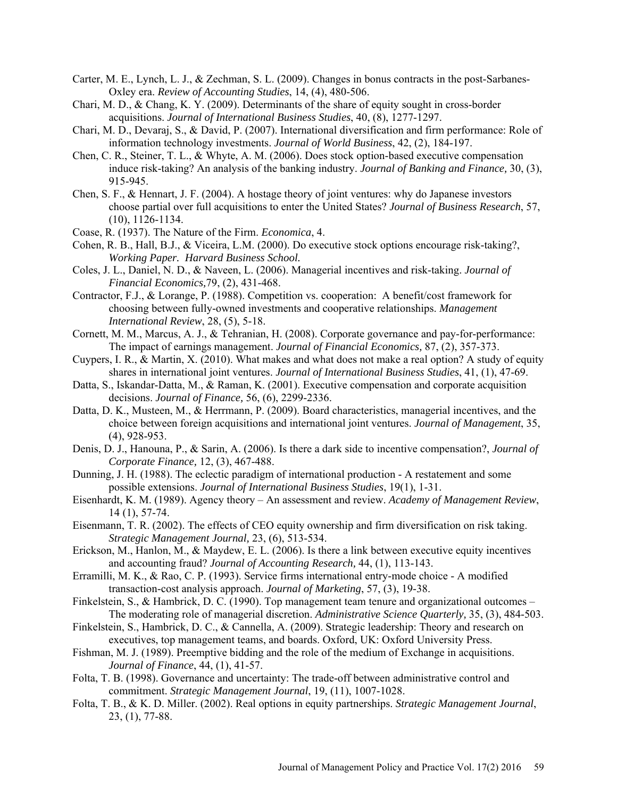- Carter, M. E., Lynch, L. J., & Zechman, S. L. (2009). Changes in bonus contracts in the post-Sarbanes-Oxley era. *Review of Accounting Studies*, 14, (4), 480-506.
- Chari, M. D., & Chang, K. Y. (2009). Determinants of the share of equity sought in cross-border acquisitions. *Journal of International Business Studies*, 40, (8), 1277-1297.
- Chari, M. D., Devaraj, S., & David, P. (2007). International diversification and firm performance: Role of information technology investments. *Journal of World Business*, 42, (2), 184-197.
- Chen, C. R., Steiner, T. L., & Whyte, A. M. (2006). Does stock option-based executive compensation induce risk-taking? An analysis of the banking industry. *Journal of Banking and Finance,* 30, (3), 915-945.
- Chen, S. F., & Hennart, J. F. (2004). A hostage theory of joint ventures: why do Japanese investors choose partial over full acquisitions to enter the United States? *Journal of Business Research*, 57, (10), 1126-1134.
- Coase, R. (1937). The Nature of the Firm. *Economica*, 4.
- Cohen, R. B., Hall, B.J., & Viceira, L.M. (2000). Do executive stock options encourage risk-taking?, *Working Paper. Harvard Business School.*
- Coles, J. L., Daniel, N. D., & Naveen, L. (2006). Managerial incentives and risk-taking. *Journal of Financial Economics,*79, (2), 431-468.
- Contractor, F.J., & Lorange, P. (1988). Competition vs. cooperation: A benefit/cost framework for choosing between fully-owned investments and cooperative relationships. *Management International Review*, 28, (5), 5-18.
- Cornett, M. M., Marcus, A. J., & Tehranian, H. (2008). Corporate governance and pay-for-performance: The impact of earnings management. *Journal of Financial Economics,* 87, (2), 357-373.
- Cuypers, I. R., & Martin, X. (2010). What makes and what does not make a real option? A study of equity shares in international joint ventures. *Journal of International Business Studies*, 41, (1), 47-69.
- Datta, S., Iskandar-Datta, M., & Raman, K. (2001). Executive compensation and corporate acquisition decisions. *Journal of Finance,* 56, (6), 2299-2336.
- Datta, D. K., Musteen, M., & Herrmann, P. (2009). Board characteristics, managerial incentives, and the choice between foreign acquisitions and international joint ventures. *Journal of Management*, 35, (4), 928-953.
- Denis, D. J., Hanouna, P., & Sarin, A. (2006). Is there a dark side to incentive compensation?, *Journal of Corporate Finance,* 12, (3), 467-488.
- Dunning, J. H. (1988). The eclectic paradigm of international production A restatement and some possible extensions. *Journal of International Business Studies*, 19(1), 1-31.
- Eisenhardt, K. M. (1989). Agency theory An assessment and review. *Academy of Management Review*, 14 (1), 57-74.
- Eisenmann, T. R. (2002). The effects of CEO equity ownership and firm diversification on risk taking. *Strategic Management Journal,* 23, (6), 513-534.
- Erickson, M., Hanlon, M., & Maydew, E. L. (2006). Is there a link between executive equity incentives and accounting fraud? *Journal of Accounting Research,* 44, (1), 113-143.
- Erramilli, M. K., & Rao, C. P. (1993). Service firms international entry-mode choice A modified transaction-cost analysis approach. *Journal of Marketing*, 57, (3), 19-38.
- Finkelstein, S., & Hambrick, D. C. (1990). Top management team tenure and organizational outcomes The moderating role of managerial discretion. *Administrative Science Quarterly,* 35, (3), 484-503.
- Finkelstein, S., Hambrick, D. C., & Cannella, A. (2009). Strategic leadership: Theory and research on executives, top management teams, and boards. Oxford, UK: Oxford University Press.
- Fishman, M. J. (1989). Preemptive bidding and the role of the medium of Exchange in acquisitions. *Journal of Finance*, 44, (1), 41-57.
- Folta, T. B. (1998). Governance and uncertainty: The trade-off between administrative control and commitment. *Strategic Management Journal*, 19, (11), 1007-1028.
- Folta, T. B., & K. D. Miller. (2002). Real options in equity partnerships. *Strategic Management Journal*, 23, (1), 77-88.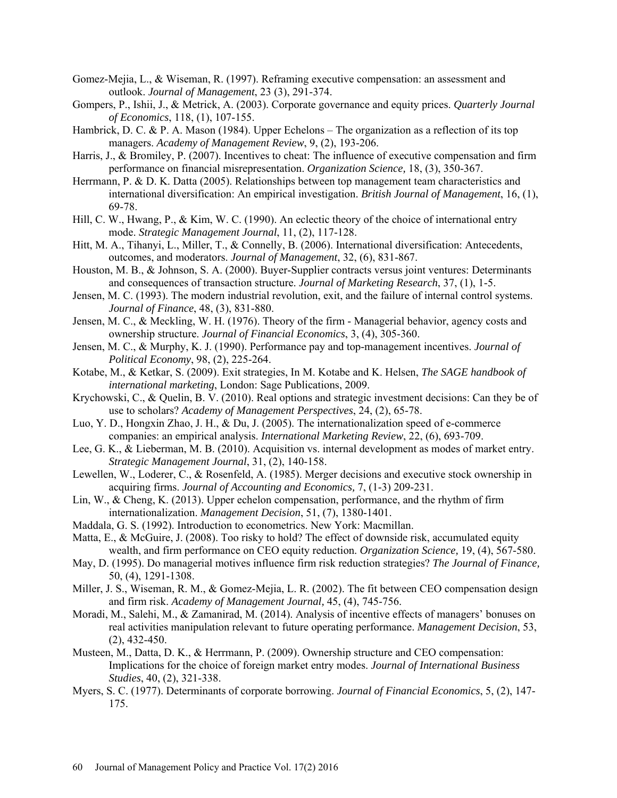- Gomez-Mejia, L., & Wiseman, R. (1997). Reframing executive compensation: an assessment and outlook. *Journal of Management*, 23 (3), 291-374.
- Gompers, P., Ishii, J., & Metrick, A. (2003). Corporate governance and equity prices. *Quarterly Journal of Economics*, 118, (1), 107-155.
- Hambrick, D. C. & P. A. Mason (1984). Upper Echelons The organization as a reflection of its top managers. *Academy of Management Review*, 9, (2), 193-206.
- Harris, J., & Bromiley, P. (2007). Incentives to cheat: The influence of executive compensation and firm performance on financial misrepresentation. *Organization Science,* 18, (3), 350-367.
- Herrmann, P. & D. K. Datta (2005). Relationships between top management team characteristics and international diversification: An empirical investigation. *British Journal of Management*, 16, (1), 69-78.
- Hill, C. W., Hwang, P., & Kim, W. C. (1990). An eclectic theory of the choice of international entry mode. *Strategic Management Journal*, 11, (2), 117-128.
- Hitt, M. A., Tihanyi, L., Miller, T., & Connelly, B. (2006). International diversification: Antecedents, outcomes, and moderators. *Journal of Management*, 32, (6), 831-867.
- Houston, M. B., & Johnson, S. A. (2000). Buyer-Supplier contracts versus joint ventures: Determinants and consequences of transaction structure. *Journal of Marketing Research*, 37, (1), 1-5.
- Jensen, M. C. (1993). The modern industrial revolution, exit, and the failure of internal control systems. *Journal of Finance*, 48, (3), 831-880.
- Jensen, M. C., & Meckling, W. H. (1976). Theory of the firm Managerial behavior, agency costs and ownership structure. *Journal of Financial Economics*, 3, (4), 305-360.
- Jensen, M. C., & Murphy, K. J. (1990). Performance pay and top-management incentives. *Journal of Political Economy*, 98, (2), 225-264.
- Kotabe, M., & Ketkar, S. (2009). Exit strategies, In M. Kotabe and K. Helsen, *The SAGE handbook of international marketing*, London: Sage Publications, 2009.
- Krychowski, C., & Quelin, B. V. (2010). Real options and strategic investment decisions: Can they be of use to scholars? *Academy of Management Perspectives*, 24, (2), 65-78.
- Luo, Y. D., Hongxin Zhao, J. H., & Du, J. (2005). The internationalization speed of e-commerce companies: an empirical analysis. *International Marketing Review*, 22, (6), 693-709.
- Lee, G. K., & Lieberman, M. B. (2010). Acquisition vs. internal development as modes of market entry. *Strategic Management Journal*, 31, (2), 140-158.
- Lewellen, W., Loderer, C., & Rosenfeld, A. (1985). Merger decisions and executive stock ownership in acquiring firms. *Journal of Accounting and Economics,* 7, (1-3) 209-231.
- Lin, W., & Cheng, K. (2013). Upper echelon compensation, performance, and the rhythm of firm internationalization. *Management Decision*, 51, (7), 1380-1401.
- Maddala, G. S. (1992). Introduction to econometrics. New York: Macmillan.
- Matta, E., & McGuire, J. (2008). Too risky to hold? The effect of downside risk, accumulated equity wealth, and firm performance on CEO equity reduction. *Organization Science,* 19, (4), 567-580.
- May, D. (1995). Do managerial motives influence firm risk reduction strategies? *The Journal of Finance,* 50, (4), 1291-1308.
- Miller, J. S., Wiseman, R. M., & Gomez-Mejia, L. R. (2002). The fit between CEO compensation design and firm risk. *Academy of Management Journal,* 45, (4), 745-756.
- Moradi, M., Salehi, M., & Zamanirad, M. (2014). Analysis of incentive effects of managers' bonuses on real activities manipulation relevant to future operating performance. *Management Decision*, 53, (2), 432-450.
- Musteen, M., Datta, D. K., & Herrmann, P. (2009). Ownership structure and CEO compensation: Implications for the choice of foreign market entry modes. *Journal of International Business Studies*, 40, (2), 321-338.
- Myers, S. C. (1977). Determinants of corporate borrowing. *Journal of Financial Economics*, 5, (2), 147- 175.